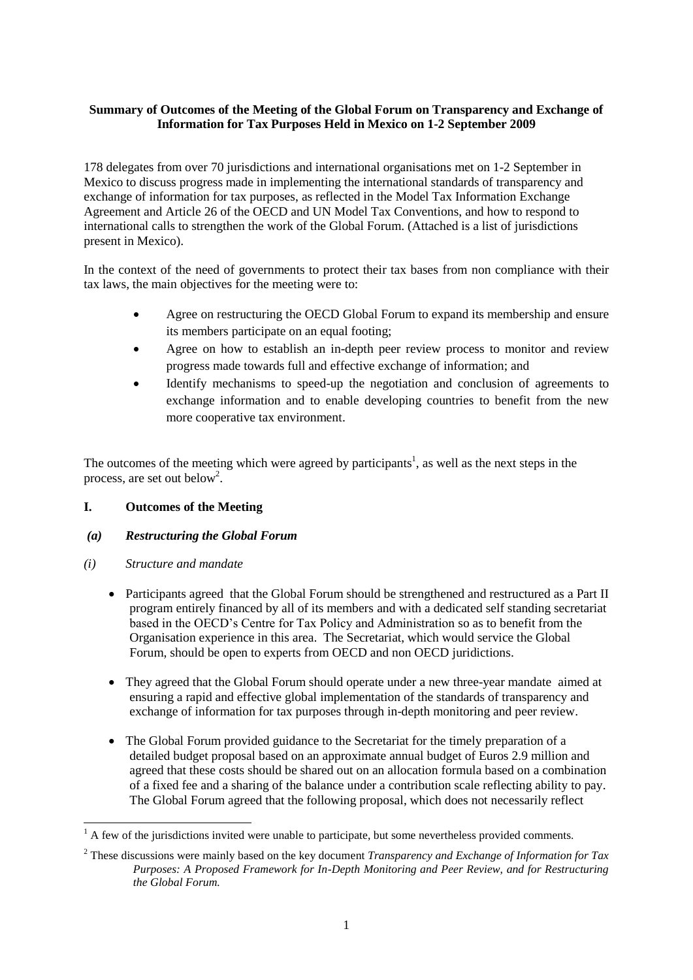# **Summary of Outcomes of the Meeting of the Global Forum on Transparency and Exchange of Information for Tax Purposes Held in Mexico on 1-2 September 2009**

178 delegates from over 70 jurisdictions and international organisations met on 1-2 September in Mexico to discuss progress made in implementing the international standards of transparency and exchange of information for tax purposes, as reflected in the Model Tax Information Exchange Agreement and Article 26 of the OECD and UN Model Tax Conventions, and how to respond to international calls to strengthen the work of the Global Forum. (Attached is a list of jurisdictions present in Mexico).

In the context of the need of governments to protect their tax bases from non compliance with their tax laws, the main objectives for the meeting were to:

- Agree on restructuring the OECD Global Forum to expand its membership and ensure its members participate on an equal footing;
- Agree on how to establish an in-depth peer review process to monitor and review progress made towards full and effective exchange of information; and
- Identify mechanisms to speed-up the negotiation and conclusion of agreements to exchange information and to enable developing countries to benefit from the new more cooperative tax environment.

The outcomes of the meeting which were agreed by participants<sup>1</sup>, as well as the next steps in the process, are set out below<sup>2</sup>.

# **I. Outcomes of the Meeting**

### *(a) Restructuring the Global Forum*

*(i) Structure and mandate*

-

- Participants agreed that the Global Forum should be strengthened and restructured as a Part II program entirely financed by all of its members and with a dedicated self standing secretariat based in the OECD's Centre for Tax Policy and Administration so as to benefit from the Organisation experience in this area. The Secretariat, which would service the Global Forum, should be open to experts from OECD and non OECD juridictions.
- They agreed that the Global Forum should operate under a new three-year mandate aimed at ensuring a rapid and effective global implementation of the standards of transparency and exchange of information for tax purposes through in-depth monitoring and peer review.
- The Global Forum provided guidance to the Secretariat for the timely preparation of a detailed budget proposal based on an approximate annual budget of Euros 2.9 million and agreed that these costs should be shared out on an allocation formula based on a combination of a fixed fee and a sharing of the balance under a contribution scale reflecting ability to pay. The Global Forum agreed that the following proposal, which does not necessarily reflect

 $<sup>1</sup>$  A few of the jurisdictions invited were unable to participate, but some nevertheless provided comments.</sup>

<sup>2</sup> These discussions were mainly based on the key document *Transparency and Exchange of Information for Tax Purposes: A Proposed Framework for In-Depth Monitoring and Peer Review, and for Restructuring the Global Forum.*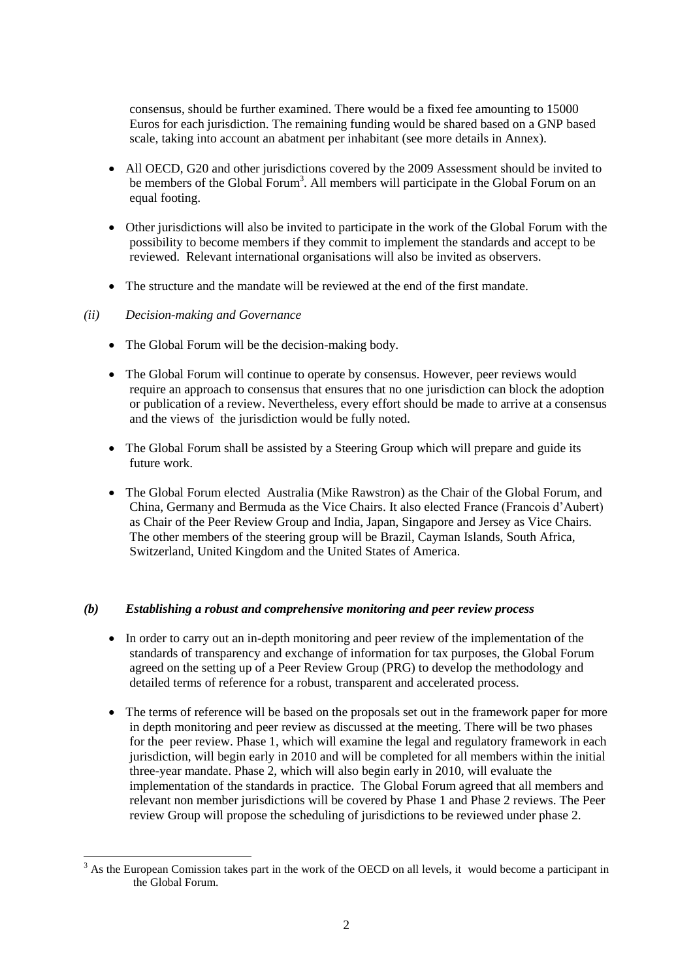consensus, should be further examined. There would be a fixed fee amounting to 15000 Euros for each jurisdiction. The remaining funding would be shared based on a GNP based scale, taking into account an abatment per inhabitant (see more details in Annex).

- All OECD, G20 and other jurisdictions covered by the 2009 Assessment should be invited to be members of the Global Forum<sup>3</sup>. All members will participate in the Global Forum on an equal footing.
- Other jurisdictions will also be invited to participate in the work of the Global Forum with the possibility to become members if they commit to implement the standards and accept to be reviewed. Relevant international organisations will also be invited as observers.
- The structure and the mandate will be reviewed at the end of the first mandate.

## *(ii) Decision-making and Governance*

- The Global Forum will be the decision-making body.
- The Global Forum will continue to operate by consensus. However, peer reviews would require an approach to consensus that ensures that no one jurisdiction can block the adoption or publication of a review. Nevertheless, every effort should be made to arrive at a consensus and the views of the jurisdiction would be fully noted.
- The Global Forum shall be assisted by a Steering Group which will prepare and guide its future work.
- The Global Forum elected Australia (Mike Rawstron) as the Chair of the Global Forum, and China, Germany and Bermuda as the Vice Chairs. It also elected France (Francois d'Aubert) as Chair of the Peer Review Group and India, Japan, Singapore and Jersey as Vice Chairs. The other members of the steering group will be Brazil, Cayman Islands, South Africa, Switzerland, United Kingdom and the United States of America.

### *(b) Establishing a robust and comprehensive monitoring and peer review process*

- In order to carry out an in-depth monitoring and peer review of the implementation of the standards of transparency and exchange of information for tax purposes, the Global Forum agreed on the setting up of a Peer Review Group (PRG) to develop the methodology and detailed terms of reference for a robust, transparent and accelerated process.
- The terms of reference will be based on the proposals set out in the framework paper for more in depth monitoring and peer review as discussed at the meeting. There will be two phases for the peer review. Phase 1, which will examine the legal and regulatory framework in each jurisdiction, will begin early in 2010 and will be completed for all members within the initial three-year mandate. Phase 2, which will also begin early in 2010, will evaluate the implementation of the standards in practice. The Global Forum agreed that all members and relevant non member jurisdictions will be covered by Phase 1 and Phase 2 reviews. The Peer review Group will propose the scheduling of jurisdictions to be reviewed under phase 2.

<sup>1</sup>  $3$  As the European Comission takes part in the work of the OECD on all levels, it would become a participant in the Global Forum.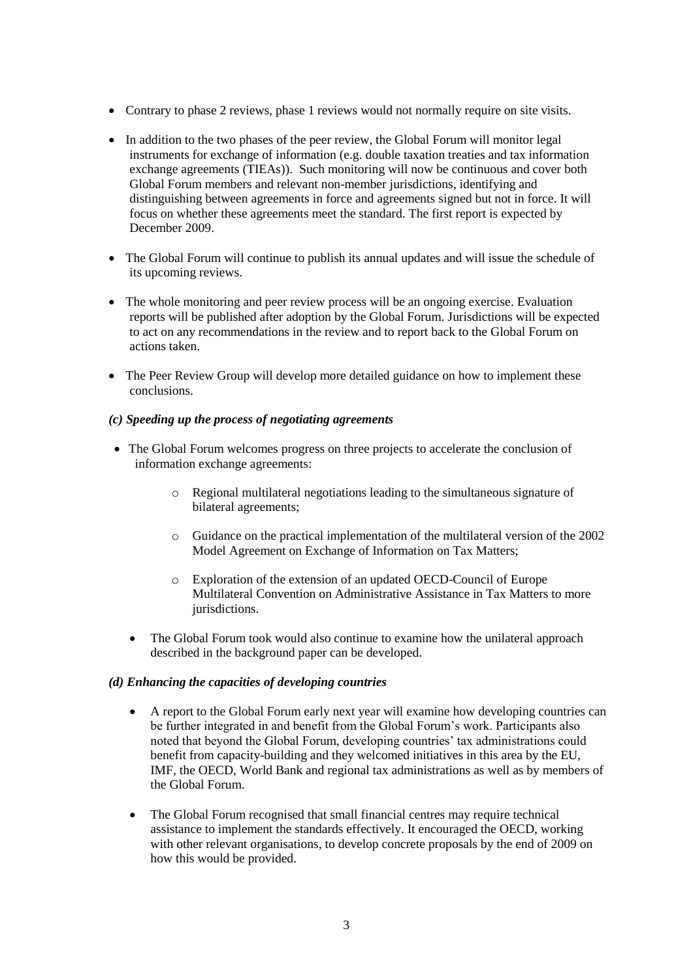- Contrary to phase 2 reviews, phase 1 reviews would not normally require on site visits.
- In addition to the two phases of the peer review, the Global Forum will monitor legal instruments for exchange of information (e.g. double taxation treaties and tax information exchange agreements (TIEAs)). Such monitoring will now be continuous and cover both Global Forum members and relevant non-member jurisdictions, identifying and distinguishing between agreements in force and agreements signed but not in force. It will focus on whether these agreements meet the standard. The first report is expected by December 2009.
- The Global Forum will continue to publish its annual updates and will issue the schedule of its upcoming reviews.
- The whole monitoring and peer review process will be an ongoing exercise. Evaluation reports will be published after adoption by the Global Forum. Jurisdictions will be expected to act on any recommendations in the review and to report back to the Global Forum on actions taken.
- The Peer Review Group will develop more detailed guidance on how to implement these conclusions.
- *(c) Speeding up the process of negotiating agreements*
- The Global Forum welcomes progress on three projects to accelerate the conclusion of information exchange agreements:
	- o Regional multilateral negotiations leading to the simultaneous signature of bilateral agreements;
	- o Guidance on the practical implementation of the multilateral version of the 2002 Model Agreement on Exchange of Information on Tax Matters;
	- o Exploration of the extension of an updated OECD-Council of Europe Multilateral Convention on Administrative Assistance in Tax Matters to more jurisdictions.
	- The Global Forum took would also continue to examine how the unilateral approach described in the background paper can be developed.

## *(d) Enhancing the capacities of developing countries*

- A report to the Global Forum early next year will examine how developing countries can be further integrated in and benefit from the Global Forum's work. Participants also noted that beyond the Global Forum, developing countries' tax administrations could benefit from capacity-building and they welcomed initiatives in this area by the EU, IMF, the OECD, World Bank and regional tax administrations as well as by members of the Global Forum.
- The Global Forum recognised that small financial centres may require technical assistance to implement the standards effectively. It encouraged the OECD, working with other relevant organisations, to develop concrete proposals by the end of 2009 on how this would be provided.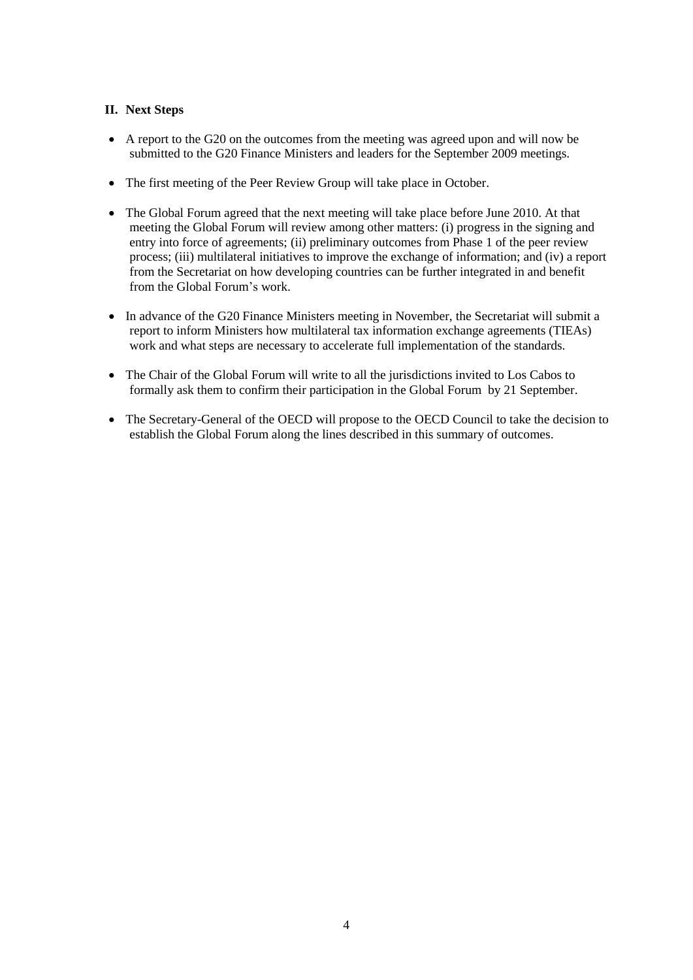## **II. Next Steps**

- A report to the G20 on the outcomes from the meeting was agreed upon and will now be submitted to the G20 Finance Ministers and leaders for the September 2009 meetings.
- The first meeting of the Peer Review Group will take place in October.
- The Global Forum agreed that the next meeting will take place before June 2010. At that meeting the Global Forum will review among other matters: (i) progress in the signing and entry into force of agreements; (ii) preliminary outcomes from Phase 1 of the peer review process; (iii) multilateral initiatives to improve the exchange of information; and (iv) a report from the Secretariat on how developing countries can be further integrated in and benefit from the Global Forum's work.
- In advance of the G20 Finance Ministers meeting in November, the Secretariat will submit a report to inform Ministers how multilateral tax information exchange agreements (TIEAs) work and what steps are necessary to accelerate full implementation of the standards.
- The Chair of the Global Forum will write to all the jurisdictions invited to Los Cabos to formally ask them to confirm their participation in the Global Forum by 21 September.
- The Secretary-General of the OECD will propose to the OECD Council to take the decision to establish the Global Forum along the lines described in this summary of outcomes.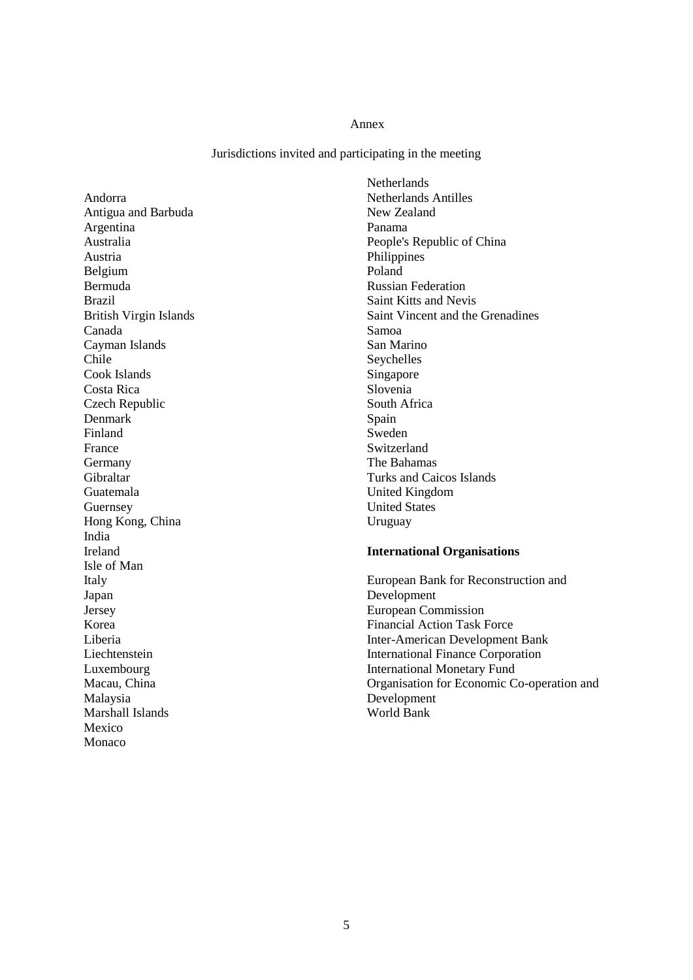#### Annex

Jurisdictions invited and participating in the meeting

Andorra Antigua and Barbuda Argentina Australia Austria Belgium Bermuda Brazil British Virgin Islands Canada Cayman Islands Chile Cook Islands Costa Rica Czech Republic Denmark Finland France Germany Gibraltar Guatemala Guernsey Hong Kong, China India Ireland Isle of Man Italy Japan Jersey Korea Liberia Liechtenstein Luxembourg Macau, China Malaysia Marshall Islands Mexico Monaco

**Netherlands** Netherlands Antilles New Zealand Panama People's Republic of China Philippines Poland Russian Federation Saint Kitts and Nevis Saint Vincent and the Grenadines Samoa San Marino Seychelles Singapore Slovenia South Africa Spain Sweden Switzerland The Bahamas Turks and Caicos Islands United Kingdom United States Uruguay

#### **International Organisations**

European Bank for Reconstruction and Development European Commission Financial Action Task Force Inter-American Development Bank International Finance Corporation International Monetary Fund Organisation for Economic Co-operation and Development World Bank